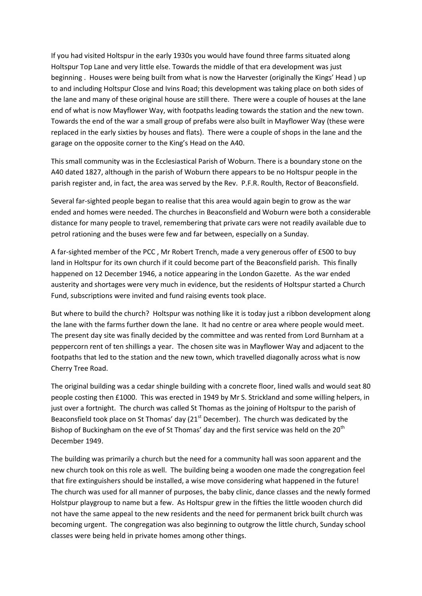If you had visited Holtspur in the early 1930s you would have found three farms situated along Holtspur Top Lane and very little else. Towards the middle of that era development was just beginning . Houses were being built from what is now the Harvester (originally the Kings' Head ) up to and including Holtspur Close and Ivins Road; this development was taking place on both sides of the lane and many of these original house are still there. There were a couple of houses at the lane end of what is now Mayflower Way, with footpaths leading towards the station and the new town. Towards the end of the war a small group of prefabs were also built in Mayflower Way (these were replaced in the early sixties by houses and flats). There were a couple of shops in the lane and the garage on the opposite corner to the King's Head on the A40.

This small community was in the Ecclesiastical Parish of Woburn. There is a boundary stone on the A40 dated 1827, although in the parish of Woburn there appears to be no Holtspur people in the parish register and, in fact, the area was served by the Rev. P.F.R. Roulth, Rector of Beaconsfield.

Several far-sighted people began to realise that this area would again begin to grow as the war ended and homes were needed. The churches in Beaconsfield and Woburn were both a considerable distance for many people to travel, remembering that private cars were not readily available due to petrol rationing and the buses were few and far between, especially on a Sunday.

A far-sighted member of the PCC , Mr Robert Trench, made a very generous offer of £500 to buy land in Holtspur for its own church if it could become part of the Beaconsfield parish. This finally happened on 12 December 1946, a notice appearing in the London Gazette. As the war ended austerity and shortages were very much in evidence, but the residents of Holtspur started a Church Fund, subscriptions were invited and fund raising events took place.

But where to build the church? Holtspur was nothing like it is today just a ribbon development along the lane with the farms further down the lane. It had no centre or area where people would meet. The present day site was finally decided by the committee and was rented from Lord Burnham at a peppercorn rent of ten shillings a year. The chosen site was in Mayflower Way and adjacent to the footpaths that led to the station and the new town, which travelled diagonally across what is now Cherry Tree Road.

The original building was a cedar shingle building with a concrete floor, lined walls and would seat 80 people costing then £1000. This was erected in 1949 by Mr S. Strickland and some willing helpers, in just over a fortnight. The church was called St Thomas as the joining of Holtspur to the parish of Beaconsfield took place on St Thomas' day ( $21<sup>st</sup>$  December). The church was dedicated by the Bishop of Buckingham on the eve of St Thomas' day and the first service was held on the 20<sup>th</sup> December 1949.

The building was primarily a church but the need for a community hall was soon apparent and the new church took on this role as well. The building being a wooden one made the congregation feel that fire extinguishers should be installed, a wise move considering what happened in the future! The church was used for all manner of purposes, the baby clinic, dance classes and the newly formed Holstpur playgroup to name but a few. As Holtspur grew in the fifties the little wooden church did not have the same appeal to the new residents and the need for permanent brick built church was becoming urgent. The congregation was also beginning to outgrow the little church, Sunday school classes were being held in private homes among other things.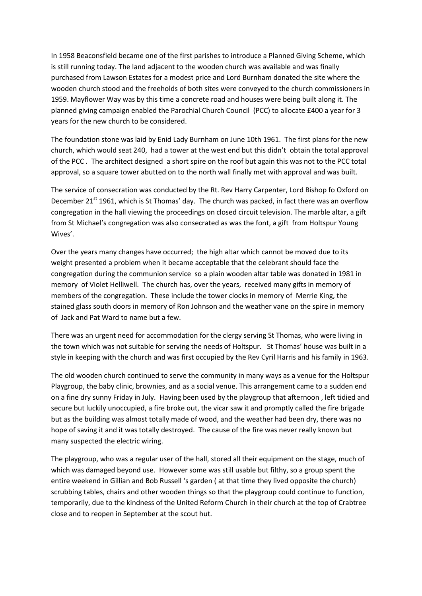In 1958 Beaconsfield became one of the first parishes to introduce a Planned Giving Scheme, which is still running today. The land adjacent to the wooden church was available and was finally purchased from Lawson Estates for a modest price and Lord Burnham donated the site where the wooden church stood and the freeholds of both sites were conveyed to the church commissioners in 1959. Mayflower Way was by this time a concrete road and houses were being built along it. The planned giving campaign enabled the Parochial Church Council (PCC) to allocate £400 a year for 3 years for the new church to be considered.

The foundation stone was laid by Enid Lady Burnham on June 10th 1961. The first plans for the new church, which would seat 240, had a tower at the west end but this didn't obtain the total approval of the PCC . The architect designed a short spire on the roof but again this was not to the PCC total approval, so a square tower abutted on to the north wall finally met with approval and was built.

The service of consecration was conducted by the Rt. Rev Harry Carpenter, Lord Bishop fo Oxford on December 21<sup>st</sup> 1961, which is St Thomas' day. The church was packed, in fact there was an overflow congregation in the hall viewing the proceedings on closed circuit television. The marble altar, a gift from St Michael's congregation was also consecrated as was the font, a gift from Holtspur Young Wives'.

Over the years many changes have occurred; the high altar which cannot be moved due to its weight presented a problem when it became acceptable that the celebrant should face the congregation during the communion service so a plain wooden altar table was donated in 1981 in memory of Violet Helliwell. The church has, over the years, received many gifts in memory of members of the congregation. These include the tower clocks in memory of Merrie King, the stained glass south doors in memory of Ron Johnson and the weather vane on the spire in memory of Jack and Pat Ward to name but a few.

There was an urgent need for accommodation for the clergy serving St Thomas, who were living in the town which was not suitable for serving the needs of Holtspur. St Thomas' house was built in a style in keeping with the church and was first occupied by the Rev Cyril Harris and his family in 1963.

The old wooden church continued to serve the community in many ways as a venue for the Holtspur Playgroup, the baby clinic, brownies, and as a social venue. This arrangement came to a sudden end on a fine dry sunny Friday in July. Having been used by the playgroup that afternoon , left tidied and secure but luckily unoccupied, a fire broke out, the vicar saw it and promptly called the fire brigade but as the building was almost totally made of wood, and the weather had been dry, there was no hope of saving it and it was totally destroyed. The cause of the fire was never really known but many suspected the electric wiring.

The playgroup, who was a regular user of the hall, stored all their equipment on the stage, much of which was damaged beyond use. However some was still usable but filthy, so a group spent the entire weekend in Gillian and Bob Russell 's garden ( at that time they lived opposite the church) scrubbing tables, chairs and other wooden things so that the playgroup could continue to function, temporarily, due to the kindness of the United Reform Church in their church at the top of Crabtree close and to reopen in September at the scout hut.